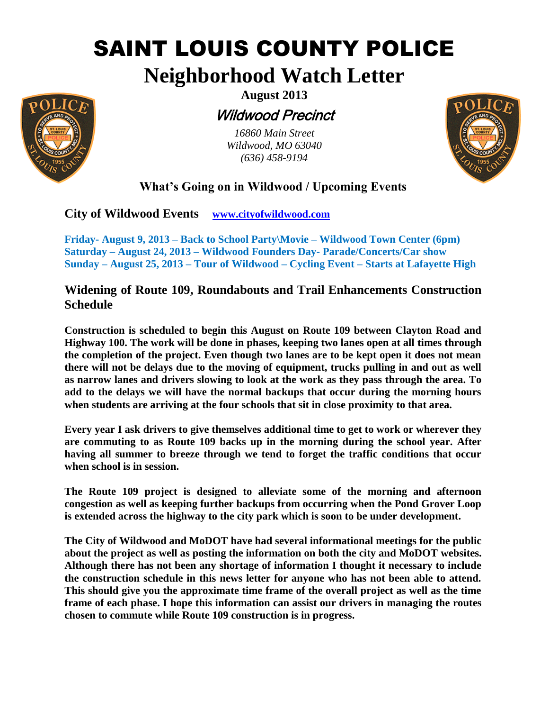# SAINT LOUIS COUNTY POLICE

## **Neighborhood Watch Letter**



## Wildwood Precinct

*16860 Main Street Wildwood, MO 63040 (636) 458-9194*



## **What's Going on in Wildwood / Upcoming Events**

**City of Wildwood Events [www.cityofwildwood.com](http://www.cityofwildwood.com/)**

**Friday- August 9, 2013 – Back to School Party\Movie – Wildwood Town Center (6pm) Saturday – August 24, 2013 – Wildwood Founders Day- Parade/Concerts/Car show Sunday – August 25, 2013 – Tour of Wildwood – Cycling Event – Starts at Lafayette High**

### **Widening of Route 109, Roundabouts and Trail Enhancements Construction Schedule**

**Construction is scheduled to begin this August on Route 109 between Clayton Road and Highway 100. The work will be done in phases, keeping two lanes open at all times through the completion of the project. Even though two lanes are to be kept open it does not mean there will not be delays due to the moving of equipment, trucks pulling in and out as well as narrow lanes and drivers slowing to look at the work as they pass through the area. To add to the delays we will have the normal backups that occur during the morning hours when students are arriving at the four schools that sit in close proximity to that area.** 

**Every year I ask drivers to give themselves additional time to get to work or wherever they are commuting to as Route 109 backs up in the morning during the school year. After having all summer to breeze through we tend to forget the traffic conditions that occur when school is in session.** 

**The Route 109 project is designed to alleviate some of the morning and afternoon congestion as well as keeping further backups from occurring when the Pond Grover Loop is extended across the highway to the city park which is soon to be under development.** 

**The City of Wildwood and MoDOT have had several informational meetings for the public about the project as well as posting the information on both the city and MoDOT websites. Although there has not been any shortage of information I thought it necessary to include the construction schedule in this news letter for anyone who has not been able to attend. This should give you the approximate time frame of the overall project as well as the time frame of each phase. I hope this information can assist our drivers in managing the routes chosen to commute while Route 109 construction is in progress.**